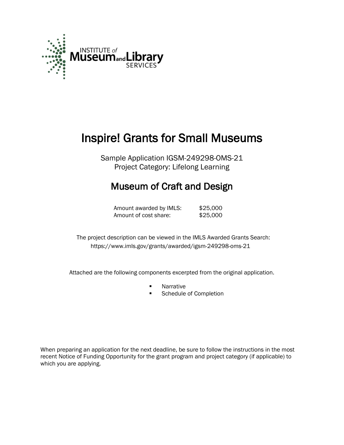

# Inspire! Grants for Small Museums

Sample Application IGSM-249298-OMS-21 Project Category: Lifelong Learning

# Museum of Craft and Design

Amount awarded by IMLS: \$25,000 Amount of cost share: \$25,000

 The project description can be viewed in the IMLS Awarded Grants Search: <https://www.imls.gov/grants/awarded/igsm-249298-oms-21>

Attached are the following components excerpted from the original application.

- **Narrative**<br>**Report 19**
- Schedule of Completion

When preparing an application for the next deadline, be sure to follow the instructions in the most recent Notice of Funding Opportunity for the grant program and project category (if applicable) to which you are applying.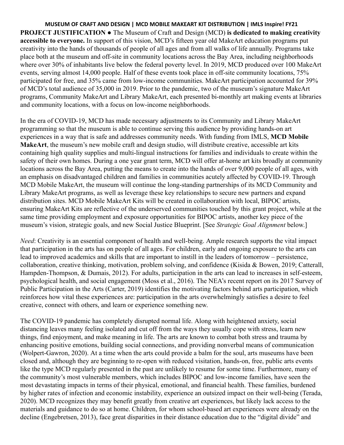**MUSEUM OF CRAFT AND DESIGN | MCD MOBILE MAKEART KIT DISTRIBUTION | IMLS Inspire! FY21 PROJECT JUSTIFICATION ●** The Museum of Craft and Design (MCD) **is dedicated to making creativity accessible to everyone.** In support of this vision, MCD's fifteen year old MakeArt education programs put creativity into the hands of thousands of people of all ages and from all walks of life annually. Programs take place both at the museum and off-site in community locations across the Bay Area, including neighborhoods where over 30% of inhabitants live below the federal poverty level. In 2019, MCD produced over 100 MakeArt events, serving almost 14,000 people. Half of these events took place in off-site community locations, 75% participated for free, and 35% came from low-income communities. MakeArt participation accounted for 39% of MCD's total audience of 35,000 in 2019. Prior to the pandemic, two of the museum's signature MakeArt programs, Community MakeArt and Library MakeArt, each presented bi-monthly art making events at libraries and community locations, with a focus on low-income neighborhoods.

In the era of COVID-19, MCD has made necessary adjustments to its Community and Library MakeArt programming so that the museum is able to continue serving this audience by providing hands-on art experiences in a way that is safe and addresses community needs. With funding from IMLS, **MCD Mobile MakeArt**, the museum's new mobile craft and design studio, will distribute creative, accessible art kits containing high quality supplies and multi-lingual instructions for families and individuals to create within the safety of their own homes. During a one year grant term, MCD will offer at-home art kits broadly at community locations across the Bay Area, putting the means to create into the hands of over 9,000 people of all ages, with an emphasis on disadvantaged children and families in communities acutely affected by COVID-19. Through MCD Mobile MakeArt, the museum will continue the long-standing partnerships of its MCD Community and Library MakeArt programs, as well as leverage these key relationships to secure new partners and expand distribution sites. MCD Mobile MakeArt Kits will be created in collaboration with local, BIPOC artists, ensuring MakeArt Kits are reflective of the underserved communities touched by this grant project, while at the same time providing employment and exposure opportunities for BIPOC artists, another key piece of the museum's vision, strategic goals, and new Social Justice Blueprint. [See *Strategic Goal Alignment* below.]

*Need*: Creativity is an essential component of health and well-being. Ample research supports the vital impact that participation in the arts has on people of all ages. For children, early and ongoing exposure to the arts can lead to improved academics and skills that are important to instill in the leaders of tomorrow – persistence, collaboration, creative thinking, motivation, problem solving, and confidence (Kisida & Bowen, 2019; Catterall, Hampden-Thompson, & Dumais, 2012). For adults, participation in the arts can lead to increases in self-esteem, psychological health, and social engagement (Moss et al., 2016). The NEA's recent report on its 2017 Survey of Public Participation in the Arts (Carter, 2019) identifies the motivating factors behind arts participation, which reinforces how vital these experiences are: participation in the arts overwhelmingly satisfies a desire to feel creative, connect with others, and learn or experience something new.

The COVID-19 pandemic has completely disrupted normal life. Along with heightened anxiety, social distancing leaves many feeling isolated and cut off from the ways they usually cope with stress, learn new things, find enjoyment, and make meaning in life. The arts are known to combat both stress and trauma by enhancing positive emotions, building social connections, and providing nonverbal means of communication (Wolpert-Gawron, 2020). At a time when the arts could provide a balm for the soul, arts museums have been closed and, although they are beginning to re-open with reduced visitation, hands-on, free, public arts events like the type MCD regularly presented in the past are unlikely to resume for some time. Furthermore, many of the community's most vulnerable members, which includes BIPOC and low-income families, have seen the most devastating impacts in terms of their physical, emotional, and financial health. These families, burdened by higher rates of infection and economic instability, experience an outsized impact on their well-being (Terada, 2020). MCD recognizes they may benefit greatly from creative art experiences, but likely lack access to the materials and guidance to do so at home. Children, for whom school-based art experiences were already on the decline (Engebretsen, 2013), face great disparities in their distance education due to the "digital divide" and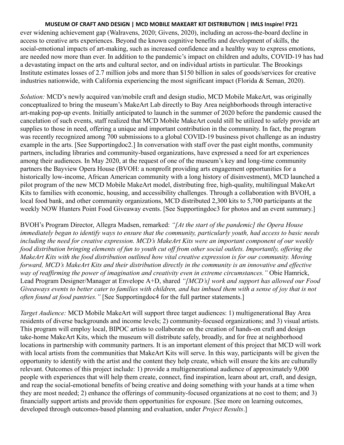ever widening achievement gap (Walravens, 2020; Givens, 2020), including an across-the-board decline in access to creative arts experiences. Beyond the known cognitive benefits and development of skills, the social-emotional impacts of art-making, such as increased confidence and a healthy way to express emotions, are needed now more than ever. In addition to the pandemic's impact on children and adults, COVID-19 has had a devastating impact on the arts and cultural sector, and on individual artists in particular. The Brookings Institute estimates losses of 2.7 million jobs and more than \$150 billion in sales of goods/services for creative industries nationwide, with California experiencing the most significant impact (Florida & Seman, 2020).

*Solution:* MCD's newly acquired van/mobile craft and design studio, MCD Mobile MakeArt, was originally conceptualized to bring the museum's MakeArt Lab directly to Bay Area neighborhoods through interactive art-making pop-up events. Initially anticipated to launch in the summer of 2020 before the pandemic caused the cancelation of such events, staff realized that MCD Mobile MakeArt could still be utilized to safely provide art supplies to those in need, offering a unique and important contribution in the community. In fact, the program was recently recognized among 700 submissions to a global COVID-19 business pivot challenge as an industry example in the arts. [See Supportingdoc2.] In conversation with staff over the past eight months, community partners, including libraries and community-based organizations, have expressed a need for art experiences among their audiences. In May 2020, at the request of one of the museum's key and long-time community partners the Bayview Opera House (BVOH: a nonprofit providing arts engagement opportunities for a historically low-income, African American community with a long history of disinvestment), MCD launched a pilot program of the new MCD Mobile MakeArt model, distributing free, high-quality, multilingual MakeArt Kits to families with economic, housing, and accessibility challenges. Through a collaboration with BVOH, a local food bank, and other community organizations, MCD distributed 2,300 kits to 5,700 participants at the weekly NOW Hunters Point Food Giveaway events. [See Supportingdoc3 for photos and an event summary.]

BVOH's Program Director, Allegra Madsen, remarked: *"[At the start of the pandemic] the Opera House immediately began to identify ways to ensure that the community, particularly youth, had access to basic needs including the need for creative expression. MCD's MakeArt Kits were an important component of our weekly food distribution bringing elements of fun to youth cut off from other social outlets. Importantly, offering the MakeArt Kits with the food distribution outlined how vital creative expression is for our community. Moving forward, MCD's MakeArt Kits and their distribution directly in the community is an innovative and effective way of reaffirming the power of imagination and creativity even in extreme circumstances."* Obie Hamrick, Lead Program Designer/Manager at Envelope A+D, shared *"[MCD's] work and support has allowed our Food Giveaways events to better cater to families with children, and has imbued them with a sense of joy that is not often found at food pantries."* [See Supportingdoc4 for the full partner statements.]

*Target Audience:* MCD Mobile MakeArt will support three target audiences: 1) multigenerational Bay Area residents of diverse backgrounds and income levels; 2) community-focused organizations; and 3) visual artists. This program will employ local, BIPOC artists to collaborate on the creation of hands-on craft and design take-home MakeArt Kits, which the museum will distribute safely, broadly, and for free at neighborhood locations in partnership with community partners. It is an important element of this project that MCD will work with local artists from the communities that MakeArt Kits will serve. In this way, participants will be given the opportunity to identify with the artist and the content they help create, which will ensure the kits are culturally relevant. Outcomes of this project include: 1) provide a multigenerational audience of approximately 9,000 people with experiences that will help them create, connect, find inspiration, learn about art, craft, and design, and reap the social-emotional benefits of being creative and doing something with your hands at a time when they are most needed; 2) enhance the offerings of community-focused organizations at no cost to them; and 3) financially support artists and provide them opportunities for exposure. [See more on learning outcomes, developed through outcomes-based planning and evaluation, under *Project Results* .]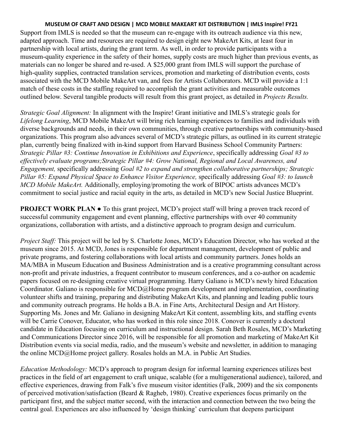Support from IMLS is needed so that the museum can re-engage with its outreach audience via this new, adapted approach. Time and resources are required to design eight new MakeArt Kits, at least four in partnership with local artists, during the grant term. As well, in order to provide participants with a museum-quality experience in the safety of their homes, supply costs are much higher than previous events, as materials can no longer be shared and re-used. A \$25,000 grant from IMLS will support the purchase of high-quality supplies, contracted translation services, promotion and marketing of distribution events, costs associated with the MCD Mobile MakeArt van, and fees for Artists Collaborators. MCD will provide a 1:1 match of these costs in the staffing required to accomplish the grant activities and measurable outcomes outlined below. Several tangible products will result from this grant project, as detailed in *Projects Results.* 

*Strategic Goal Alignment:* In alignment with the Inspire! Grant initiative and IMLS's strategic goals for *Lifelong Learning* , MCD Mobile MakeArt will bring rich learning experiences to families and individuals with diverse backgrounds and needs, in their own communities, through creative partnerships with community-based organizations. This program also advances several of MCD's strategic pillars, as outlined in its current strategic plan, currently being finalized with in-kind support from Harvard Business School Community Partners: *Strategic Pillar #3: Continue Innovation in Exhibitions and Experience* , specifically addressing *Goal #3 to effectively evaluate programs;Strategic Pillar #4: Grow National, Regional and Local Awareness, and Engagement,* specifically addressing *Goal #2 to expand and strengthen collaborative partnerships; Strategic Pillar #5: Expand Physical Space to Enhance Visitor Experience,* specifically addressing *Goal #3: to launch MCD Mobile MakeArt.* Additionally, employing/promoting the work of BIPOC artists advances MCD's commitment to social justice and racial equity in the arts, as detailed in MCD's new Social Justice Blueprint.

**PROJECT WORK PLAN •** To this grant project, MCD's project staff will bring a proven track record of successful community engagement and event planning, effective partnerships with over 40 community organizations, collaboration with artists, and a distinctive approach to program design and curriculum.

*Project Staff:* This project will be led by S. Charlotte Jones, MCD's Education Director, who has worked at the museum since 2015. At MCD, Jones is responsible for department management, development of public and private programs, and fostering collaborations with local artists and community partners. Jones holds an MA/MBA in Museum Education and Business Administration and is a creative programming consultant across non-profit and private industries, a frequent contributor to museum conferences, and a co-author on academic papers focused on re-designing creative virtual programming. Harry Galiano is MCD's newly hired Education Coordinator. Galiano is responsible for MCD@Home program development and implementation, coordinating volunteer shifts and training, preparing and distributing MakeArt Kits, and planning and leading public tours and community outreach programs. He holds a B.A. in Fine Arts, Architectural Design and Art History. Supporting Ms. Jones and Mr. Galiano in designing MakeArt Kit content, assembling kits, and staffing events will be Carrie Conover, Educator, who has worked in this role since 2018. Conover is currently a doctoral candidate in Education focusing on curriculum and instructional design. Sarah Beth Rosales, MCD's Marketing and Communications Director since 2016, will be responsible for all promotion and marketing of MakeArt Kit Distribution events via social media, radio, and the museum's website and newsletter, in addition to managing the online MCD@Home project gallery. Rosales holds an M.A. in Public Art Studies.

*Education Methodology:* MCD's approach to program design for informal learning experiences utilizes best practices in the field of art engagement to craft unique, scalable (for a multigenerational audience), tailored, and effective experiences, drawing from Falk's five museum visitor identities (Falk, 2009) and the six components of perceived motivation/satisfaction (Beard & Ragheb, 1980). Creative experiences focus primarily on the participant first, and the subject matter second, with the interaction and connection between the two being the central goal. Experiences are also influenced by 'design thinking' curriculum that deepens participant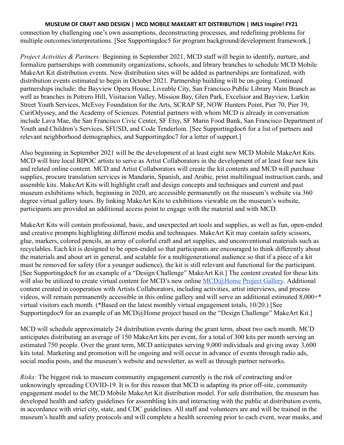connection by challenging one's own assumptions, deconstructing processes, and redefining problems for multiple outcomes/interpretations. [See Supportingdoc5 for program background/development framework.]

*Project Activities & Partners:* Beginning in September 2021, MCD staff will begin to identify, nurture, and formalize partnerships with community organizations, schools, and library branches to schedule MCD Mobile MakeArt Kit distribution events. New distribution sites will be added as partnerships are formalized, with distribution events estimated to begin in October 2021. Partnership building will be on-going. Continued partnerships include: the Bayview Opera House, Liveable City, San Francisco Public Library Main Branch as well as branches in Potrero Hill, Visitacion Valley, Mission Bay, Glen Park, Excelsior and Bayview, Larkin Street Youth Services, McEvoy Foundation for the Arts, SCRAP SF, NOW Hunters Point, Pier 70, Pier 39, CuriOdyssey, and the Academy of Sciences. Potential partners with whom MCD is already in conversation include Lava Mae, the San Francisco Civic Center, SF Etsy, SF Marin Food Bank, San Francisco Department of Youth and Children's Services, SFUSD, and Code Tenderloin. [See Supportingdoc6 for a list of partners and relevant neighborhood demographics, and Supportingdoc7 for a letter of support.]

Also beginning in September 2021 will be the development of at least eight new MCD Mobile MakeArt Kits. MCD will hire local BIPOC artists to serve as Artist Collaborators in the development of at least four new kits and related online content. MCD and Artist Collaborators will create the kit contents and MCD will purchase supplies, procure translation services in Mandarin, Spanish, and Arabic, print multilingual instruction cards, and assemble kits. MakeArt Kits will highlight craft and design concepts and techniques and current and past museum exhibitions which, beginning in 2020, are accessible permanently on the museum's website via 360 degree virtual gallery tours. By linking MakeArt Kits to exhibitions viewable on the museum's website, participants are provided an additional access point to engage with the material and with MCD.

MakeArt Kits will contain professional, basic, and unexpected art tools and supplies, as well as fun, open-ended and creative prompts highlighting different media and techniques. MakeArt Kit may contain safety scissors, glue, markers, colored pencils, an array of colorful craft and art supplies, and unconventional materials such as recyclables. Each kit is designed to be open-ended so that participants are encouraged to think differently about the materials and about art in general, and scalable for a multigenerational audience so that if a piece of a kit must be removed for safety (for a younger audience), the kit is still relevant and functional for the participant. [See Supportingdoc8 for an example of a "Design Challenge" MakeArt Kit.] The content created for these kits will also be utilized to create virtual content for MCD's new online MCD@Home Project Gallery. Additional content created in cooperation with Artists Collaborators, including activities, artist interviews, and process videos, will remain permanently accessible in this online gallery and will serve an additional estimated 8,000+\* virtual visitors each month. (\*Based on the latest monthly virtual engagement totals, 10/20.) [See Supportingdoc9 for an example of an MCD@Home project based on the "Design Challenge" MakeArt Kit.]

MCD will schedule approximately 24 distribution events during the grant term, about two each month. MCD anticipates distributing an average of 150 MakeArt kits per event, for a total of 300 kits per month serving an estimated 750 people. Over the grant term, MCD anticipates serving 9,000 individuals and giving away 3,600 kits total. Marketing and promotion will be ongoing and will occur in advance of events through radio ads, social media posts, and the museum's website and newsletter, as well as through partner networks.

*Risks:* The biggest risk to museum community engagement currently is the risk of contracting and/or unknowingly spreading COVID-19. It is for this reason that MCD is adapting its prior off-site, community engagement model to the MCD Mobile MakeArt Kit distribution model. For safe distribution, the museum has developed health and safety guidelines for assembling kits and interacting with the public at distribution events, in accordance with strict city, state, and CDC guidelines. All staff and volunteers are and will be trained in the museum's health and safety protocols and will complete a health screening prior to each event, wear masks, and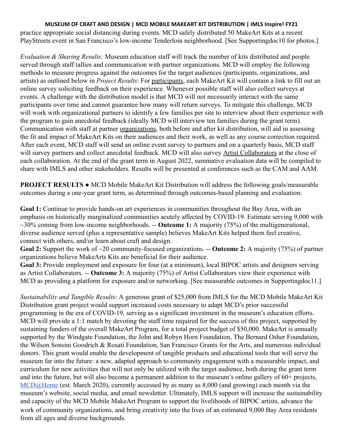practice appropriate social distancing during events. MCD safely distributed 50 MakeArt Kits at a recent PlayStreets event in San Francisco's low-income Tenderloin neighborhood. [See Supportingdoc10 for photos.]

*Evaluation & Sharing Results:* Museum education staff will track the number of kits distributed and people served through staff tallies and communication with partner organizations. MCD will employ the following methods to measure progress against the outcomes for the target audiences (participants, organizations, and artists) as outlined below in *Project Results* : For participants , each MakeArt Kit will contain a link to fill out an online survey soliciting feedback on their experience. Whenever possible staff will also collect surveys at events. A challenge with the distribution model is that MCD will not necessarily interact with the same participants over time and cannot guarantee how many will return surveys. To mitigate this challenge, MCD will work with organizational partners to identify a few families per site to interview about their experience with the program to gain anecdotal feedback (ideally MCD will interview ten families during the grant term). Communication with staff at partner organizations , both before and after kit distribution, will aid in assessing the fit and impact of MakeArt Kits on their audiences and their work, as well as any course correction required. After each event, MCD staff will send an online event survey to partners and on a quarterly basis, MCD staff will survey partners and collect anecdotal feedback. MCD will also survey Artist Collaborators at the close of each collaboration. At the end of the grant term in August 2022, summative evaluation data will be compiled to share with IMLS and other stakeholders. Results will be presented at conferences such as the CAM and AAM.

**PROJECT RESULTS •** MCD Mobile MakeArt Kit Distribution will address the following goals/measurable outcomes during a one-year grant term, as determined through outcomes-based planning and evaluation:

**Goal 1:** Continue to provide hands-on art experiences in communities throughout the Bay Area, with an emphasis on historically marginalized communities acutely affected by COVID-19. Estimate serving 9,000 with ~30% coming from low-income neighborhoods. -- **Outcome 1:** A majority (75%) of the multigenerational, diverse audience served (plus a representative sample) believes MakeArt Kits helped them feel creative, connect with others, and/or learn about craft and design.

**Goal 2:** Support the work of ~20 community-focused organizations. -- **Outcome 2:** A majority (75%) of partner organizations believe MakeArts Kits are beneficial for their audience.

**Goal 3:** Provide employment and exposure for four (at a minimum), local BIPOC artists and designers serving as Artist Collaborators. -- **Outcome 3:** A majority (75%) of Artist Collaborators view their experience with MCD as providing a platform for exposure and/or networking. [See measurable outcomes in Supportingdoc11.]

*Sustainability and Tangible Results* : A generous grant of \$25,000 from IMLS for the MCD Mobile MakeArt Kit Distribution grant project would support increased costs necessary to adapt MCD's prior successful programming in the era of COVID-19, serving as a significant investment in the museum's education efforts. MCD will provide a 1:1 match by devoting the staff time required for the success of this project, supported by sustaining funders of the overall MakeArt Program, for a total project budget of \$50,000. MakeArt is annually supported by the Windgate Foundation, the John and Robyn Horn Foundation, The Bernard Osher Foundation, the Wilson Sonsini Goodrich & Rosati Foundation, San Francisco Grants for the Arts, and numerous individual donors. This grant would enable the development of tangible products and educational tools that will serve the museum far into the future: a new, adapted approach to community engagement with a measurable impact, and curriculum for new activities that will not only be utilized with the target audience, both during the grant term and into the future, but will also become a permanent addition to the museum's online gallery of 60+ projects, [MCD@Home](https://sfmcd.org/mcdathome/) (est. March 2020), currently accessed by as many as 8,000 (and growing) each month via the museum's website, social media, and email newsletter. Ultimately, IMLS support will increase the sustainability and capacity of the MCD Mobile MakeArt Program to support the livelihoods of BIPOC artists, advance the work of community organizations, and bring creativity into the lives of an estimated 9,000 Bay Area residents from all ages and diverse backgrounds.